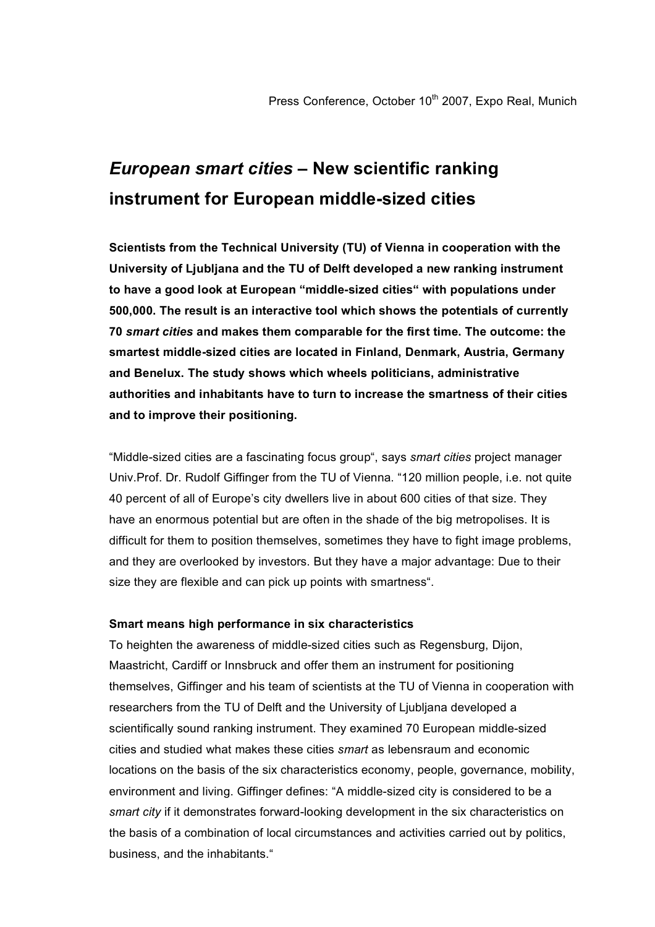# *European smart cities* **– New scientific ranking instrument for European middle-sized cities**

**Scientists from the Technical University (TU) of Vienna in cooperation with the University of Ljubljana and the TU of Delft developed a new ranking instrument to have a good look at European "middle-sized cities" with populations under 500,000. The result is an interactive tool which shows the potentials of currently 70** *smart cities* **and makes them comparable for the first time. The outcome: the smartest middle-sized cities are located in Finland, Denmark, Austria, Germany and Benelux. The study shows which wheels politicians, administrative authorities and inhabitants have to turn to increase the smartness of their cities and to improve their positioning.**

"Middle-sized cities are a fascinating focus group", says *smart cities* project manager Univ.Prof. Dr. Rudolf Giffinger from the TU of Vienna. "120 million people, i.e. not quite 40 percent of all of Europe's city dwellers live in about 600 cities of that size. They have an enormous potential but are often in the shade of the big metropolises. It is difficult for them to position themselves, sometimes they have to fight image problems, and they are overlooked by investors. But they have a major advantage: Due to their size they are flexible and can pick up points with smartness".

## **Smart means high performance in six characteristics**

To heighten the awareness of middle-sized cities such as Regensburg, Dijon, Maastricht, Cardiff or Innsbruck and offer them an instrument for positioning themselves, Giffinger and his team of scientists at the TU of Vienna in cooperation with researchers from the TU of Delft and the University of Ljubljana developed a scientifically sound ranking instrument. They examined 70 European middle-sized cities and studied what makes these cities *smart* as lebensraum and economic locations on the basis of the six characteristics economy, people, governance, mobility, environment and living. Giffinger defines: "A middle-sized city is considered to be a *smart city* if it demonstrates forward-looking development in the six characteristics on the basis of a combination of local circumstances and activities carried out by politics, business, and the inhabitants."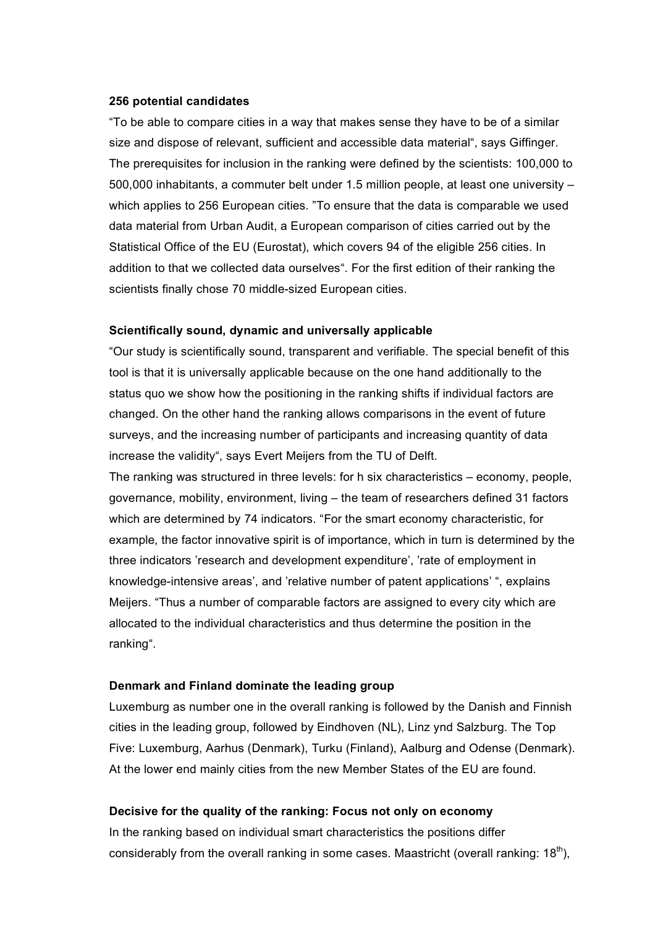#### **256 potential candidates**

"To be able to compare cities in a way that makes sense they have to be of a similar size and dispose of relevant, sufficient and accessible data material", says Giffinger. The prerequisites for inclusion in the ranking were defined by the scientists: 100,000 to 500,000 inhabitants, a commuter belt under 1.5 million people, at least one university – which applies to 256 European cities. "To ensure that the data is comparable we used data material from Urban Audit, a European comparison of cities carried out by the Statistical Office of the EU (Eurostat), which covers 94 of the eligible 256 cities. In addition to that we collected data ourselves". For the first edition of their ranking the scientists finally chose 70 middle-sized European cities.

#### **Scientifically sound, dynamic and universally applicable**

"Our study is scientifically sound, transparent and verifiable. The special benefit of this tool is that it is universally applicable because on the one hand additionally to the status quo we show how the positioning in the ranking shifts if individual factors are changed. On the other hand the ranking allows comparisons in the event of future surveys, and the increasing number of participants and increasing quantity of data increase the validity", says Evert Meijers from the TU of Delft.

The ranking was structured in three levels: for h six characteristics – economy, people, governance, mobility, environment, living – the team of researchers defined 31 factors which are determined by 74 indicators. "For the smart economy characteristic, for example, the factor innovative spirit is of importance, which in turn is determined by the three indicators 'research and development expenditure', 'rate of employment in knowledge-intensive areas', and 'relative number of patent applications' ", explains Meijers. "Thus a number of comparable factors are assigned to every city which are allocated to the individual characteristics and thus determine the position in the ranking".

#### **Denmark and Finland dominate the leading group**

Luxemburg as number one in the overall ranking is followed by the Danish and Finnish cities in the leading group, followed by Eindhoven (NL), Linz ynd Salzburg. The Top Five: Luxemburg, Aarhus (Denmark), Turku (Finland), Aalburg and Odense (Denmark). At the lower end mainly cities from the new Member States of the EU are found.

#### **Decisive for the quality of the ranking: Focus not only on economy**

In the ranking based on individual smart characteristics the positions differ considerably from the overall ranking in some cases. Maastricht (overall ranking:  $18<sup>th</sup>$ ),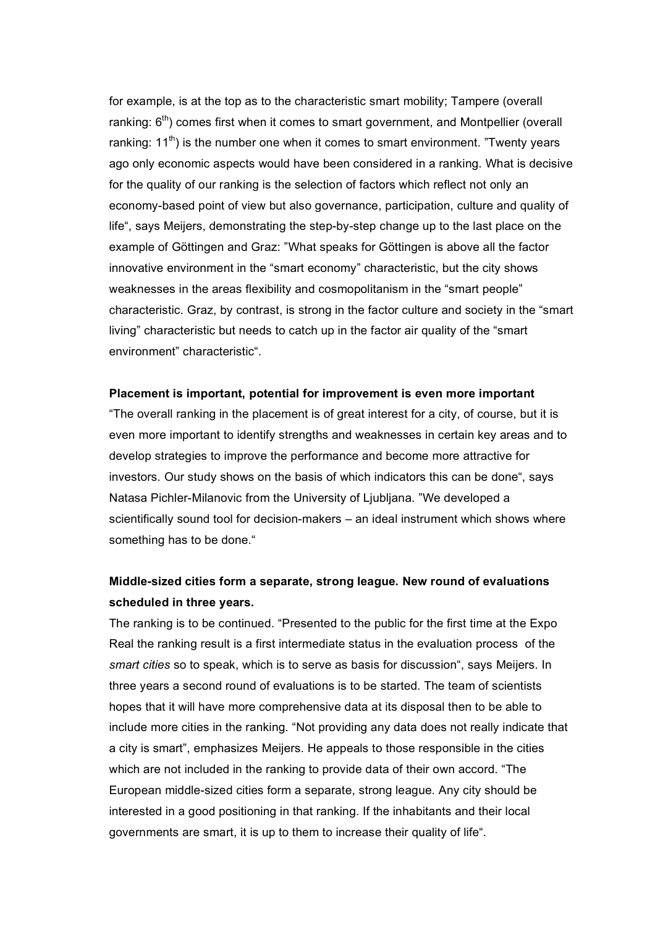for example, is at the top as to the characteristic smart mobility; Tampere (overall ranking:  $6<sup>th</sup>$ ) comes first when it comes to smart government, and Montpellier (overall ranking: 11<sup>th</sup>) is the number one when it comes to smart environment. "Twenty years ago only economic aspects would have been considered in a ranking. What is decisive for the quality of our ranking is the selection of factors which reflect not only an economy-based point of view but also governance, participation, culture and quality of life", says Meijers, demonstrating the step-by-step change up to the last place on the example of Göttingen and Graz: "What speaks for Göttingen is above all the factor innovative environment in the "smart economy" characteristic, but the city shows weaknesses in the areas flexibility and cosmopolitanism in the "smart people" characteristic. Graz, by contrast, is strong in the factor culture and society in the "smart living" characteristic but needs to catch up in the factor air quality of the "smart environment" characteristic".

#### **Placement is important, potential for improvement is even more important**

"The overall ranking in the placement is of great interest for a city, of course, but it is even more important to identify strengths and weaknesses in certain key areas and to develop strategies to improve the performance and become more attractive for investors. Our study shows on the basis of which indicators this can be done", says Natasa Pichler-Milanovic from the University of Ljubljana. "We developed a scientifically sound tool for decision-makers – an ideal instrument which shows where something has to be done."

# **Middle-sized cities form a separate, strong league. New round of evaluations scheduled in three years.**

The ranking is to be continued. "Presented to the public for the first time at the Expo Real the ranking result is a first intermediate status in the evaluation process of the *smart cities* so to speak, which is to serve as basis for discussion", says Meijers. In three years a second round of evaluations is to be started. The team of scientists hopes that it will have more comprehensive data at its disposal then to be able to include more cities in the ranking. "Not providing any data does not really indicate that a city is smart", emphasizes Meijers. He appeals to those responsible in the cities which are not included in the ranking to provide data of their own accord. "The European middle-sized cities form a separate, strong league. Any city should be interested in a good positioning in that ranking. If the inhabitants and their local governments are smart, it is up to them to increase their quality of life".